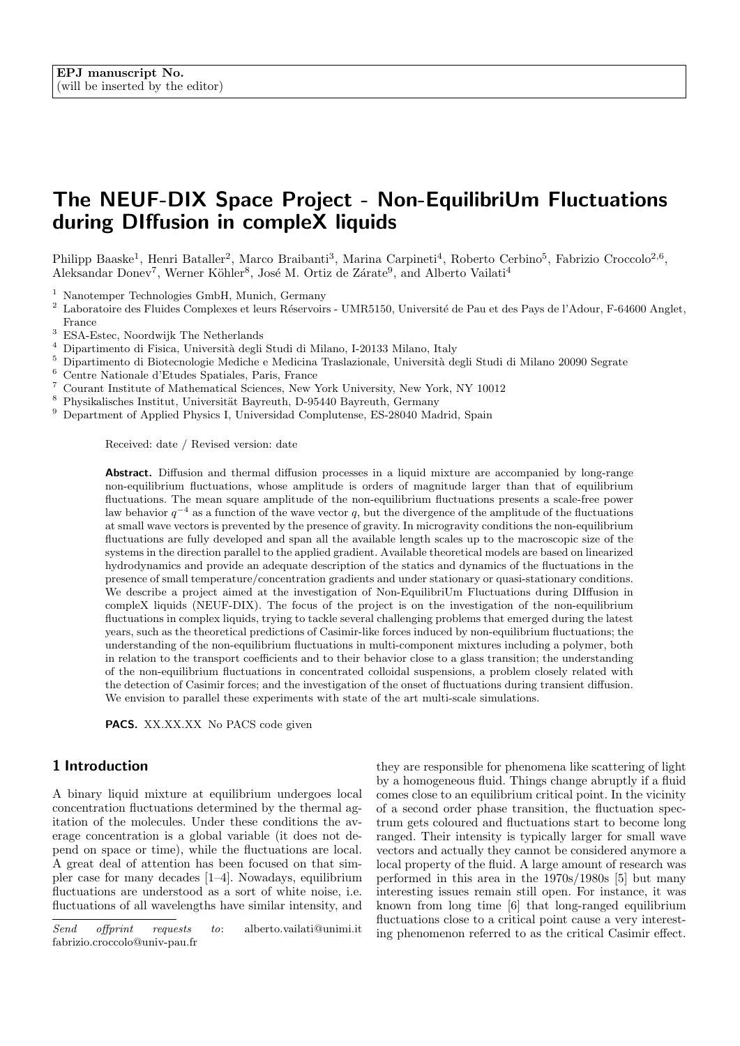# The NEUF-DIX Space Project - Non-EquilibriUm Fluctuations during DIffusion in compleX liquids

Philipp Baaske<sup>1</sup>, Henri Bataller<sup>2</sup>, Marco Braibanti<sup>3</sup>, Marina Carpineti<sup>4</sup>, Roberto Cerbino<sup>5</sup>, Fabrizio Croccolo<sup>2,6</sup>, Aleksandar Donev<sup>7</sup>, Werner Köhler<sup>8</sup>, José M. Ortiz de Zárate<sup>9</sup>, and Alberto Vailati<sup>4</sup>

<sup>1</sup> Nanotemper Technologies GmbH, Munich, Germany

- <sup>2</sup> Laboratoire des Fluides Complexes et leurs Réservoirs UMR5150, Université de Pau et des Pays de l'Adour, F-64600 Anglet, France
- <sup>3</sup> ESA-Estec, Noordwijk The Netherlands
- <sup>4</sup> Dipartimento di Fisica, Università degli Studi di Milano, I-20133 Milano, Italy
- $^5\,$  Dipartimento di Biotecnologie Mediche e Medicina Traslazionale, Università degli Studi di Milano 20090 Segrate
- <sup>6</sup> Centre Nationale d'Etudes Spatiales, Paris, France
- <sup>7</sup> Courant Institute of Mathematical Sciences, New York University, New York, NY 10012
- $^8$  Physikalisches Institut, Universität Bayreuth, D-95440 Bayreuth, Germany
- <sup>9</sup> Department of Applied Physics I, Universidad Complutense, ES-28040 Madrid, Spain

Received: date / Revised version: date

Abstract. Diffusion and thermal diffusion processes in a liquid mixture are accompanied by long-range non-equilibrium fluctuations, whose amplitude is orders of magnitude larger than that of equilibrium fluctuations. The mean square amplitude of the non-equilibrium fluctuations presents a scale-free power law behavior  $q^{-4}$  as a function of the wave vector q, but the divergence of the amplitude of the fluctuations at small wave vectors is prevented by the presence of gravity. In microgravity conditions the non-equilibrium fluctuations are fully developed and span all the available length scales up to the macroscopic size of the systems in the direction parallel to the applied gradient. Available theoretical models are based on linearized hydrodynamics and provide an adequate description of the statics and dynamics of the fluctuations in the presence of small temperature/concentration gradients and under stationary or quasi-stationary conditions. We describe a project aimed at the investigation of Non-EquilibriUm Fluctuations during DIffusion in compleX liquids (NEUF-DIX). The focus of the project is on the investigation of the non-equilibrium fluctuations in complex liquids, trying to tackle several challenging problems that emerged during the latest years, such as the theoretical predictions of Casimir-like forces induced by non-equilibrium fluctuations; the understanding of the non-equilibrium fluctuations in multi-component mixtures including a polymer, both in relation to the transport coefficients and to their behavior close to a glass transition; the understanding of the non-equilibrium fluctuations in concentrated colloidal suspensions, a problem closely related with the detection of Casimir forces; and the investigation of the onset of fluctuations during transient diffusion. We envision to parallel these experiments with state of the art multi-scale simulations.

PACS. XX.XX.XX No PACS code given

# 1 Introduction

A binary liquid mixture at equilibrium undergoes local concentration fluctuations determined by the thermal agitation of the molecules. Under these conditions the average concentration is a global variable (it does not depend on space or time), while the fluctuations are local. A great deal of attention has been focused on that simpler case for many decades [1–4]. Nowadays, equilibrium fluctuations are understood as a sort of white noise, i.e. fluctuations of all wavelengths have similar intensity, and they are responsible for phenomena like scattering of light by a homogeneous fluid. Things change abruptly if a fluid comes close to an equilibrium critical point. In the vicinity of a second order phase transition, the fluctuation spectrum gets coloured and fluctuations start to become long ranged. Their intensity is typically larger for small wave vectors and actually they cannot be considered anymore a local property of the fluid. A large amount of research was performed in this area in the 1970s/1980s [5] but many interesting issues remain still open. For instance, it was known from long time [6] that long-ranged equilibrium fluctuations close to a critical point cause a very interesting phenomenon referred to as the critical Casimir effect.

Send offprint requests to: alberto.vailati@unimi.it fabrizio.croccolo@univ-pau.fr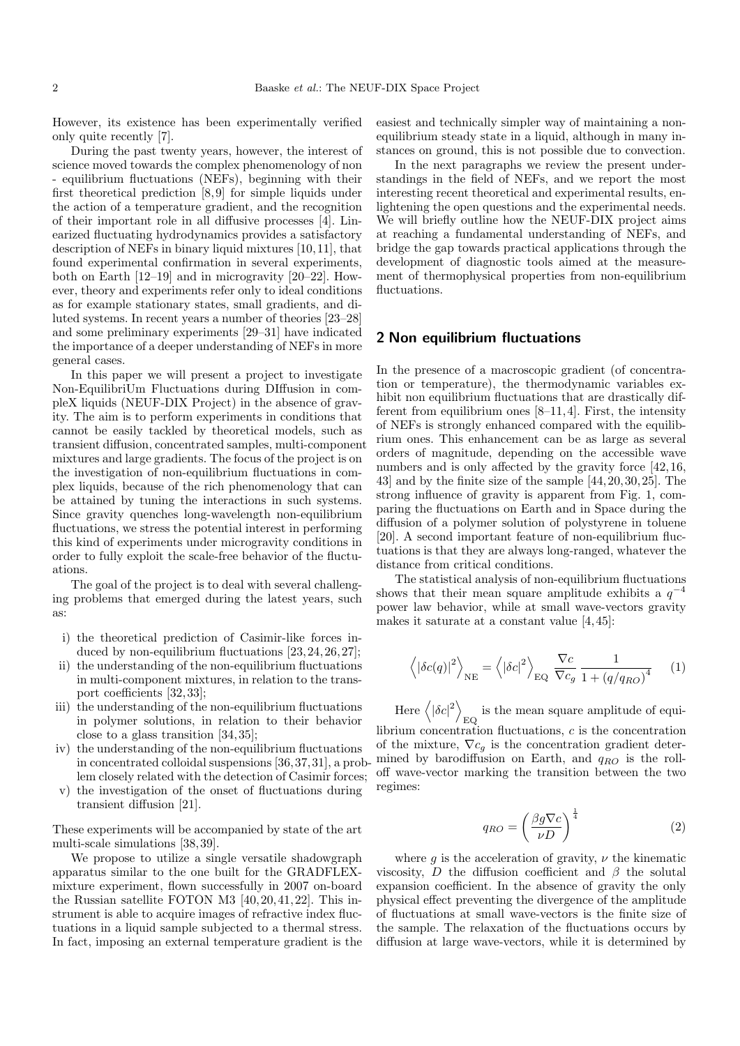However, its existence has been experimentally verified only quite recently [7].

During the past twenty years, however, the interest of science moved towards the complex phenomenology of non - equilibrium fluctuations (NEFs), beginning with their first theoretical prediction [8, 9] for simple liquids under the action of a temperature gradient, and the recognition of their important role in all diffusive processes [4]. Linearized fluctuating hydrodynamics provides a satisfactory description of NEFs in binary liquid mixtures [10, 11], that found experimental confirmation in several experiments, both on Earth [12–19] and in microgravity [20–22]. However, theory and experiments refer only to ideal conditions as for example stationary states, small gradients, and diluted systems. In recent years a number of theories [23–28] and some preliminary experiments [29–31] have indicated the importance of a deeper understanding of NEFs in more general cases.

In this paper we will present a project to investigate Non-EquilibriUm Fluctuations during DIffusion in compleX liquids (NEUF-DIX Project) in the absence of gravity. The aim is to perform experiments in conditions that cannot be easily tackled by theoretical models, such as transient diffusion, concentrated samples, multi-component mixtures and large gradients. The focus of the project is on the investigation of non-equilibrium fluctuations in complex liquids, because of the rich phenomenology that can be attained by tuning the interactions in such systems. Since gravity quenches long-wavelength non-equilibrium fluctuations, we stress the potential interest in performing this kind of experiments under microgravity conditions in order to fully exploit the scale-free behavior of the fluctuations.

The goal of the project is to deal with several challenging problems that emerged during the latest years, such as:

- i) the theoretical prediction of Casimir-like forces induced by non-equilibrium fluctuations [23, 24, 26, 27];
- ii) the understanding of the non-equilibrium fluctuations in multi-component mixtures, in relation to the transport coefficients [32, 33];
- iii) the understanding of the non-equilibrium fluctuations in polymer solutions, in relation to their behavior close to a glass transition [34, 35];
- iv) the understanding of the non-equilibrium fluctuations in concentrated colloidal suspensions [36, 37, 31], a problem closely related with the detection of Casimir forces;
- v) the investigation of the onset of fluctuations during transient diffusion [21].

These experiments will be accompanied by state of the art multi-scale simulations [38, 39].

We propose to utilize a single versatile shadowgraph apparatus similar to the one built for the GRADFLEXmixture experiment, flown successfully in 2007 on-board the Russian satellite FOTON M3 [40, 20, 41, 22]. This instrument is able to acquire images of refractive index fluctuations in a liquid sample subjected to a thermal stress. In fact, imposing an external temperature gradient is the easiest and technically simpler way of maintaining a nonequilibrium steady state in a liquid, although in many instances on ground, this is not possible due to convection.

In the next paragraphs we review the present understandings in the field of NEFs, and we report the most interesting recent theoretical and experimental results, enlightening the open questions and the experimental needs. We will briefly outline how the NEUF-DIX project aims at reaching a fundamental understanding of NEFs, and bridge the gap towards practical applications through the development of diagnostic tools aimed at the measurement of thermophysical properties from non-equilibrium fluctuations.

# 2 Non equilibrium fluctuations

In the presence of a macroscopic gradient (of concentration or temperature), the thermodynamic variables exhibit non equilibrium fluctuations that are drastically different from equilibrium ones  $[8-11, 4]$ . First, the intensity of NEFs is strongly enhanced compared with the equilibrium ones. This enhancement can be as large as several orders of magnitude, depending on the accessible wave numbers and is only affected by the gravity force [42, 16, 43] and by the finite size of the sample [44, 20, 30, 25]. The strong influence of gravity is apparent from Fig. 1, comparing the fluctuations on Earth and in Space during the diffusion of a polymer solution of polystyrene in toluene [20]. A second important feature of non-equilibrium fluctuations is that they are always long-ranged, whatever the distance from critical conditions.

The statistical analysis of non-equilibrium fluctuations shows that their mean square amplitude exhibits a  $q^{-4}$ power law behavior, while at small wave-vectors gravity makes it saturate at a constant value [4, 45]:

$$
\left\langle |\delta c(q)|^2 \right\rangle_{\text{NE}} = \left\langle |\delta c|^2 \right\rangle_{\text{EQ}} \frac{\nabla c}{\nabla c_g} \frac{1}{1 + \left(q/q_{RO}\right)^4} \tag{1}
$$

Here  $\langle |\delta c|^2 \rangle$  $_{\rm EQ}$  is the mean square amplitude of equilibrium concentration fluctuations, c is the concentration of the mixture,  $\nabla c_q$  is the concentration gradient determined by barodiffusion on Earth, and  $q_{RO}$  is the rolloff wave-vector marking the transition between the two regimes:

$$
q_{RO} = \left(\frac{\beta g \nabla c}{\nu D}\right)^{\frac{1}{4}} \tag{2}
$$

where g is the acceleration of gravity,  $\nu$  the kinematic viscosity, D the diffusion coefficient and  $\beta$  the solutal expansion coefficient. In the absence of gravity the only physical effect preventing the divergence of the amplitude of fluctuations at small wave-vectors is the finite size of the sample. The relaxation of the fluctuations occurs by diffusion at large wave-vectors, while it is determined by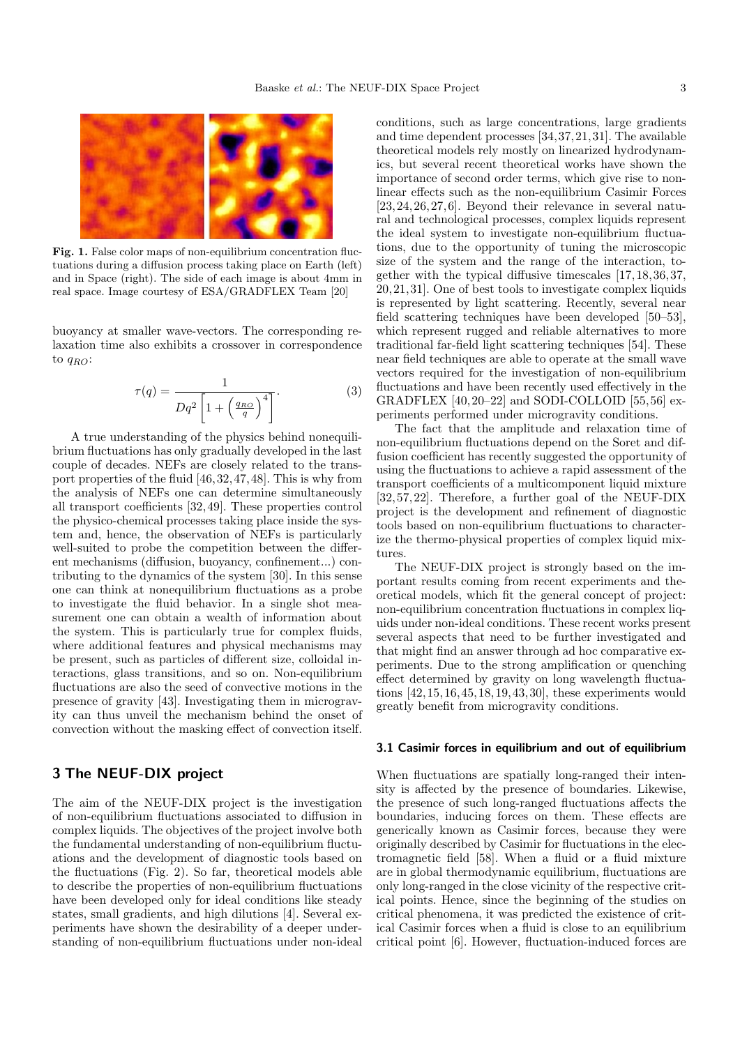

Fig. 1. False color maps of non-equilibrium concentration fluctuations during a diffusion process taking place on Earth (left) and in Space (right). The side of each image is about 4mm in real space. Image courtesy of ESA/GRADFLEX Team [20]

buoyancy at smaller wave-vectors. The corresponding relaxation time also exhibits a crossover in correspondence to  $q_{RO}$ :

$$
\tau(q) = \frac{1}{Dq^2 \left[1 + \left(\frac{q_{RO}}{q}\right)^4\right]}.\tag{3}
$$

A true understanding of the physics behind nonequilibrium fluctuations has only gradually developed in the last couple of decades. NEFs are closely related to the transport properties of the fluid [46, 32, 47, 48]. This is why from the analysis of NEFs one can determine simultaneously all transport coefficients [32, 49]. These properties control the physico-chemical processes taking place inside the system and, hence, the observation of NEFs is particularly well-suited to probe the competition between the different mechanisms (diffusion, buoyancy, confinement...) contributing to the dynamics of the system [30]. In this sense one can think at nonequilibrium fluctuations as a probe to investigate the fluid behavior. In a single shot measurement one can obtain a wealth of information about the system. This is particularly true for complex fluids, where additional features and physical mechanisms may be present, such as particles of different size, colloidal interactions, glass transitions, and so on. Non-equilibrium fluctuations are also the seed of convective motions in the presence of gravity [43]. Investigating them in microgravity can thus unveil the mechanism behind the onset of convection without the masking effect of convection itself.

# 3 The NEUF-DIX project

The aim of the NEUF-DIX project is the investigation of non-equilibrium fluctuations associated to diffusion in complex liquids. The objectives of the project involve both the fundamental understanding of non-equilibrium fluctuations and the development of diagnostic tools based on the fluctuations (Fig. 2). So far, theoretical models able to describe the properties of non-equilibrium fluctuations have been developed only for ideal conditions like steady states, small gradients, and high dilutions [4]. Several experiments have shown the desirability of a deeper understanding of non-equilibrium fluctuations under non-ideal conditions, such as large concentrations, large gradients and time dependent processes [34, 37, 21, 31]. The available theoretical models rely mostly on linearized hydrodynamics, but several recent theoretical works have shown the importance of second order terms, which give rise to nonlinear effects such as the non-equilibrium Casimir Forces [23, 24, 26, 27, 6]. Beyond their relevance in several natural and technological processes, complex liquids represent the ideal system to investigate non-equilibrium fluctuations, due to the opportunity of tuning the microscopic size of the system and the range of the interaction, together with the typical diffusive timescales [17, 18, 36, 37, 20, 21, 31]. One of best tools to investigate complex liquids is represented by light scattering. Recently, several near field scattering techniques have been developed [50–53], which represent rugged and reliable alternatives to more traditional far-field light scattering techniques [54]. These near field techniques are able to operate at the small wave vectors required for the investigation of non-equilibrium fluctuations and have been recently used effectively in the GRADFLEX [40, 20–22] and SODI-COLLOID [55, 56] experiments performed under microgravity conditions.

The fact that the amplitude and relaxation time of non-equilibrium fluctuations depend on the Soret and diffusion coefficient has recently suggested the opportunity of using the fluctuations to achieve a rapid assessment of the transport coefficients of a multicomponent liquid mixture [32, 57, 22]. Therefore, a further goal of the NEUF-DIX project is the development and refinement of diagnostic tools based on non-equilibrium fluctuations to characterize the thermo-physical properties of complex liquid mixtures.

The NEUF-DIX project is strongly based on the important results coming from recent experiments and theoretical models, which fit the general concept of project: non-equilibrium concentration fluctuations in complex liquids under non-ideal conditions. These recent works present several aspects that need to be further investigated and that might find an answer through ad hoc comparative experiments. Due to the strong amplification or quenching effect determined by gravity on long wavelength fluctuations [42, 15, 16, 45, 18, 19, 43, 30], these experiments would greatly benefit from microgravity conditions.

### 3.1 Casimir forces in equilibrium and out of equilibrium

When fluctuations are spatially long-ranged their intensity is affected by the presence of boundaries. Likewise, the presence of such long-ranged fluctuations affects the boundaries, inducing forces on them. These effects are generically known as Casimir forces, because they were originally described by Casimir for fluctuations in the electromagnetic field [58]. When a fluid or a fluid mixture are in global thermodynamic equilibrium, fluctuations are only long-ranged in the close vicinity of the respective critical points. Hence, since the beginning of the studies on critical phenomena, it was predicted the existence of critical Casimir forces when a fluid is close to an equilibrium critical point [6]. However, fluctuation-induced forces are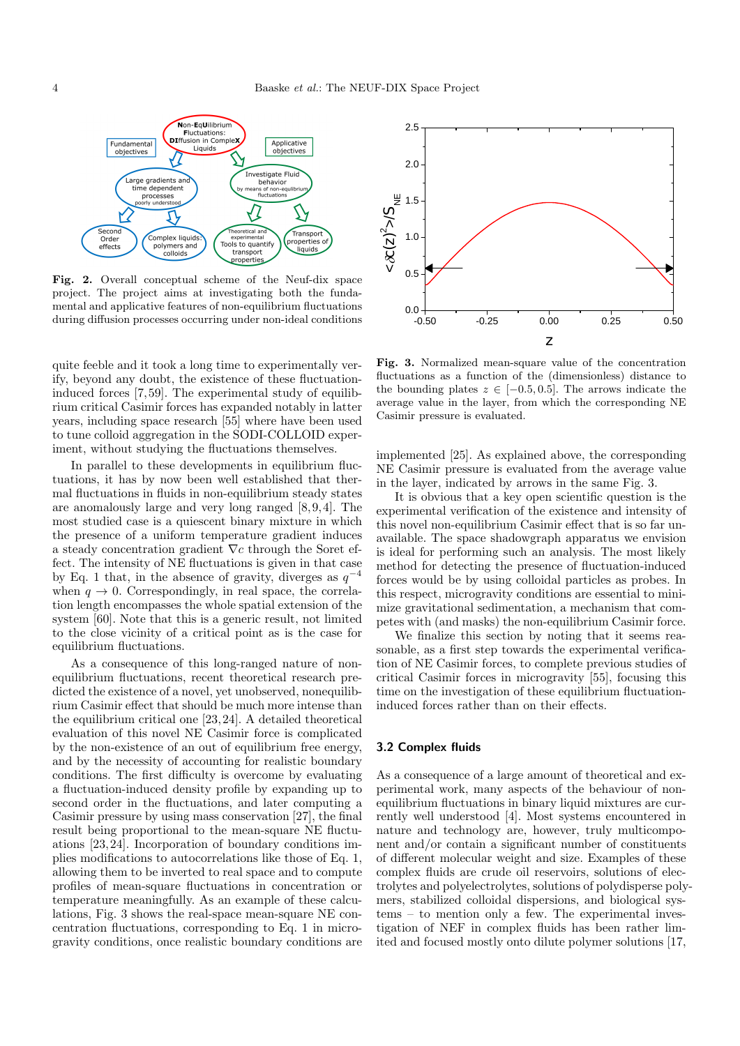

Fig. 2. Overall conceptual scheme of the Neuf-dix space project. The project aims at investigating both the fundamental and applicative features of non-equilibrium fluctuations during diffusion processes occurring under non-ideal conditions

quite feeble and it took a long time to experimentally verify, beyond any doubt, the existence of these fluctuationinduced forces [7, 59]. The experimental study of equilibrium critical Casimir forces has expanded notably in latter years, including space research [55] where have been used to tune colloid aggregation in the SODI-COLLOID experiment, without studying the fluctuations themselves.

In parallel to these developments in equilibrium fluctuations, it has by now been well established that thermal fluctuations in fluids in non-equilibrium steady states are anomalously large and very long ranged [8, 9, 4]. The most studied case is a quiescent binary mixture in which the presence of a uniform temperature gradient induces a steady concentration gradient ∇c through the Soret effect. The intensity of NE fluctuations is given in that case by Eq. 1 that, in the absence of gravity, diverges as  $q^{-4}$ when  $q \to 0$ . Correspondingly, in real space, the correlation length encompasses the whole spatial extension of the system [60]. Note that this is a generic result, not limited to the close vicinity of a critical point as is the case for equilibrium fluctuations.

As a consequence of this long-ranged nature of nonequilibrium fluctuations, recent theoretical research predicted the existence of a novel, yet unobserved, nonequilibrium Casimir effect that should be much more intense than the equilibrium critical one [23, 24]. A detailed theoretical evaluation of this novel NE Casimir force is complicated by the non-existence of an out of equilibrium free energy, and by the necessity of accounting for realistic boundary conditions. The first difficulty is overcome by evaluating a fluctuation-induced density profile by expanding up to second order in the fluctuations, and later computing a Casimir pressure by using mass conservation [27], the final result being proportional to the mean-square NE fluctuations [23, 24]. Incorporation of boundary conditions implies modifications to autocorrelations like those of Eq. 1, allowing them to be inverted to real space and to compute profiles of mean-square fluctuations in concentration or temperature meaningfully. As an example of these calculations, Fig. 3 shows the real-space mean-square NE concentration fluctuations, corresponding to Eq. 1 in microgravity conditions, once realistic boundary conditions are



Fig. 3. Normalized mean-square value of the concentration fluctuations as a function of the (dimensionless) distance to the bounding plates  $z \in [-0.5, 0.5]$ . The arrows indicate the average value in the layer, from which the corresponding NE Casimir pressure is evaluated.

implemented [25]. As explained above, the corresponding NE Casimir pressure is evaluated from the average value in the layer, indicated by arrows in the same Fig. 3.

It is obvious that a key open scientific question is the experimental verification of the existence and intensity of this novel non-equilibrium Casimir effect that is so far unavailable. The space shadowgraph apparatus we envision is ideal for performing such an analysis. The most likely method for detecting the presence of fluctuation-induced forces would be by using colloidal particles as probes. In this respect, microgravity conditions are essential to minimize gravitational sedimentation, a mechanism that competes with (and masks) the non-equilibrium Casimir force.

We finalize this section by noting that it seems reasonable, as a first step towards the experimental verification of NE Casimir forces, to complete previous studies of critical Casimir forces in microgravity [55], focusing this time on the investigation of these equilibrium fluctuationinduced forces rather than on their effects.

### 3.2 Complex fluids

As a consequence of a large amount of theoretical and experimental work, many aspects of the behaviour of nonequilibrium fluctuations in binary liquid mixtures are currently well understood [4]. Most systems encountered in nature and technology are, however, truly multicomponent and/or contain a significant number of constituents of different molecular weight and size. Examples of these complex fluids are crude oil reservoirs, solutions of electrolytes and polyelectrolytes, solutions of polydisperse polymers, stabilized colloidal dispersions, and biological systems – to mention only a few. The experimental investigation of NEF in complex fluids has been rather limited and focused mostly onto dilute polymer solutions [17,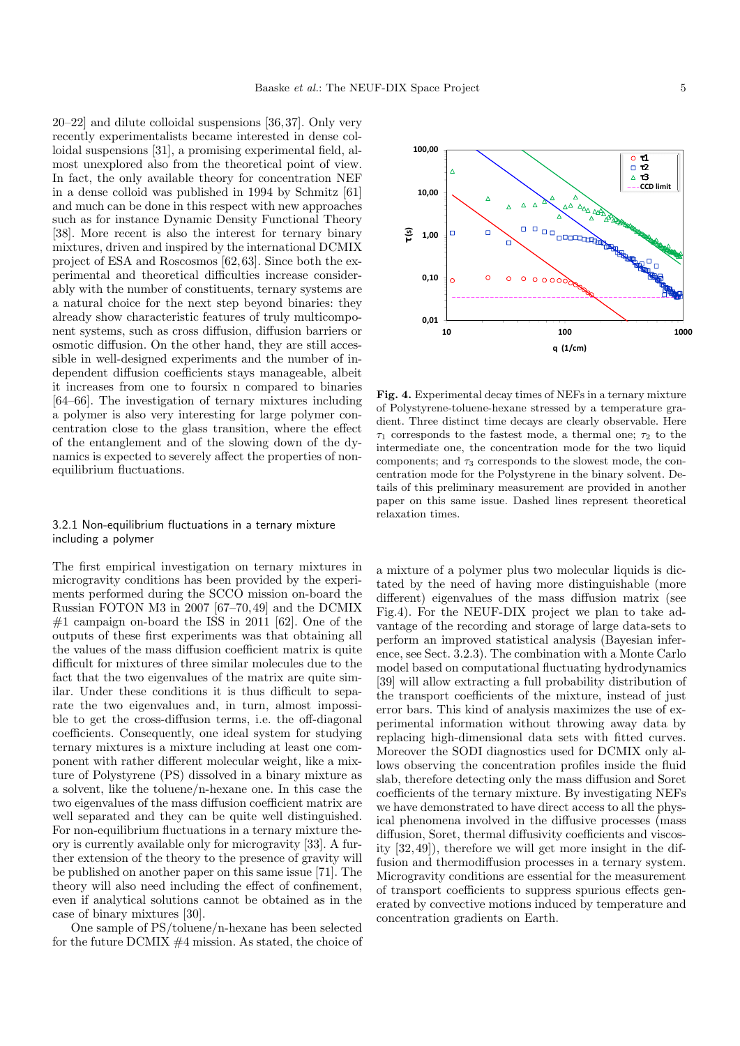20–22] and dilute colloidal suspensions [36, 37]. Only very recently experimentalists became interested in dense colloidal suspensions [31], a promising experimental field, almost unexplored also from the theoretical point of view. In fact, the only available theory for concentration NEF in a dense colloid was published in 1994 by Schmitz [61] and much can be done in this respect with new approaches such as for instance Dynamic Density Functional Theory [38]. More recent is also the interest for ternary binary mixtures, driven and inspired by the international DCMIX project of ESA and Roscosmos [62, 63]. Since both the experimental and theoretical difficulties increase considerably with the number of constituents, ternary systems are a natural choice for the next step beyond binaries: they already show characteristic features of truly multicomponent systems, such as cross diffusion, diffusion barriers or osmotic diffusion. On the other hand, they are still accessible in well-designed experiments and the number of independent diffusion coefficients stays manageable, albeit it increases from one to foursix n compared to binaries [64–66]. The investigation of ternary mixtures including a polymer is also very interesting for large polymer concentration close to the glass transition, where the effect of the entanglement and of the slowing down of the dynamics is expected to severely affect the properties of nonequilibrium fluctuations.

# 3.2.1 Non-equilibrium fluctuations in a ternary mixture including a polymer

The first empirical investigation on ternary mixtures in microgravity conditions has been provided by the experiments performed during the SCCO mission on-board the Russian FOTON M3 in 2007 [67–70,49] and the DCMIX  $#1$  campaign on-board the ISS in 2011 [62]. One of the outputs of these first experiments was that obtaining all the values of the mass diffusion coefficient matrix is quite difficult for mixtures of three similar molecules due to the fact that the two eigenvalues of the matrix are quite similar. Under these conditions it is thus difficult to separate the two eigenvalues and, in turn, almost impossible to get the cross-diffusion terms, i.e. the off-diagonal coefficients. Consequently, one ideal system for studying ternary mixtures is a mixture including at least one component with rather different molecular weight, like a mixture of Polystyrene (PS) dissolved in a binary mixture as a solvent, like the toluene/n-hexane one. In this case the two eigenvalues of the mass diffusion coefficient matrix are well separated and they can be quite well distinguished. For non-equilibrium fluctuations in a ternary mixture theory is currently available only for microgravity [33]. A further extension of the theory to the presence of gravity will be published on another paper on this same issue [71]. The theory will also need including the effect of confinement, even if analytical solutions cannot be obtained as in the case of binary mixtures [30].

One sample of PS/toluene/n-hexane has been selected for the future DCMIX #4 mission. As stated, the choice of



Fig. 4. Experimental decay times of NEFs in a ternary mixture of Polystyrene-toluene-hexane stressed by a temperature gradient. Three distinct time decays are clearly observable. Here  $\tau_1$  corresponds to the fastest mode, a thermal one;  $\tau_2$  to the intermediate one, the concentration mode for the two liquid components; and  $\tau_3$  corresponds to the slowest mode, the concentration mode for the Polystyrene in the binary solvent. Details of this preliminary measurement are provided in another paper on this same issue. Dashed lines represent theoretical relaxation times.

a mixture of a polymer plus two molecular liquids is dictated by the need of having more distinguishable (more different) eigenvalues of the mass diffusion matrix (see Fig.4). For the NEUF-DIX project we plan to take advantage of the recording and storage of large data-sets to perform an improved statistical analysis (Bayesian inference, see Sect. 3.2.3). The combination with a Monte Carlo model based on computational fluctuating hydrodynamics [39] will allow extracting a full probability distribution of the transport coefficients of the mixture, instead of just error bars. This kind of analysis maximizes the use of experimental information without throwing away data by replacing high-dimensional data sets with fitted curves. Moreover the SODI diagnostics used for DCMIX only allows observing the concentration profiles inside the fluid slab, therefore detecting only the mass diffusion and Soret coefficients of the ternary mixture. By investigating NEFs we have demonstrated to have direct access to all the physical phenomena involved in the diffusive processes (mass diffusion, Soret, thermal diffusivity coefficients and viscosity [32, 49]), therefore we will get more insight in the diffusion and thermodiffusion processes in a ternary system. Microgravity conditions are essential for the measurement of transport coefficients to suppress spurious effects generated by convective motions induced by temperature and concentration gradients on Earth.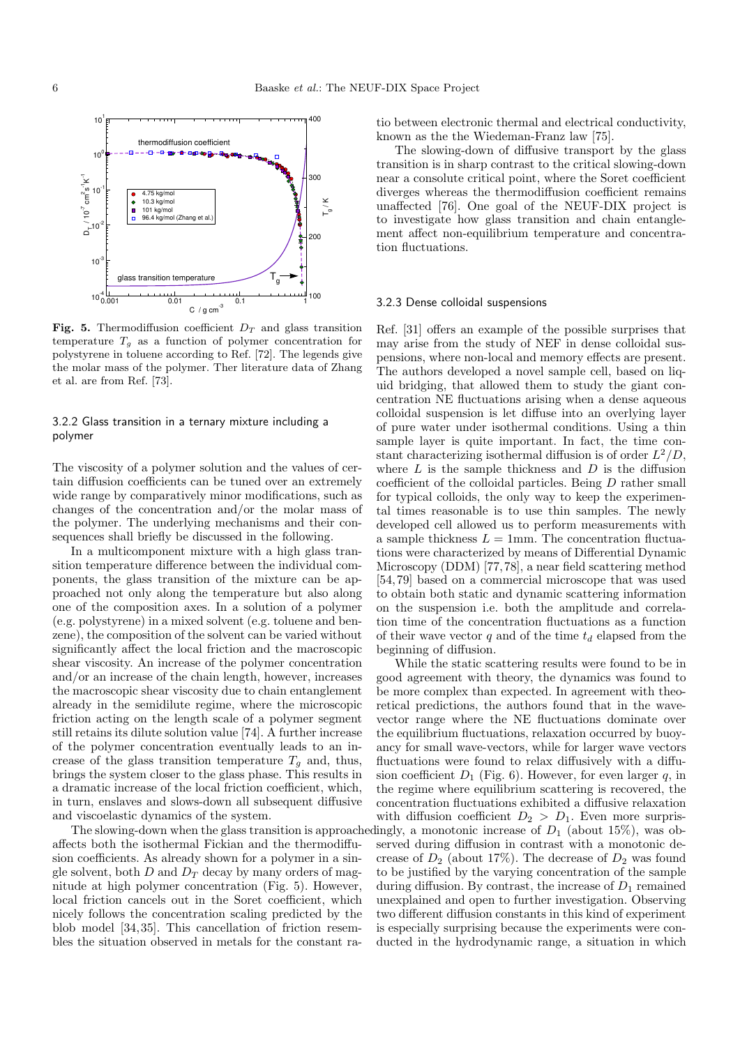

Fig. 5. Thermodiffusion coefficient  $D_T$  and glass transition temperature  $T_g$  as a function of polymer concentration for polystyrene in toluene according to Ref. [72]. The legends give the molar mass of the polymer. Ther literature data of Zhang et al. are from Ref. [73].

# 3.2.2 Glass transition in a ternary mixture including a polymer

The viscosity of a polymer solution and the values of certain diffusion coefficients can be tuned over an extremely wide range by comparatively minor modifications, such as changes of the concentration and/or the molar mass of the polymer. The underlying mechanisms and their consequences shall briefly be discussed in the following.

In a multicomponent mixture with a high glass transition temperature difference between the individual components, the glass transition of the mixture can be approached not only along the temperature but also along one of the composition axes. In a solution of a polymer (e.g. polystyrene) in a mixed solvent (e.g. toluene and benzene), the composition of the solvent can be varied without significantly affect the local friction and the macroscopic shear viscosity. An increase of the polymer concentration and/or an increase of the chain length, however, increases the macroscopic shear viscosity due to chain entanglement already in the semidilute regime, where the microscopic friction acting on the length scale of a polymer segment still retains its dilute solution value [74]. A further increase of the polymer concentration eventually leads to an increase of the glass transition temperature  $T_g$  and, thus, brings the system closer to the glass phase. This results in a dramatic increase of the local friction coefficient, which, in turn, enslaves and slows-down all subsequent diffusive and viscoelastic dynamics of the system.

affects both the isothermal Fickian and the thermodiffusion coefficients. As already shown for a polymer in a single solvent, both D and  $D_T$  decay by many orders of magnitude at high polymer concentration (Fig. 5). However, local friction cancels out in the Soret coefficient, which nicely follows the concentration scaling predicted by the blob model [34, 35]. This cancellation of friction resembles the situation observed in metals for the constant ratio between electronic thermal and electrical conductivity, known as the the Wiedeman-Franz law [75].

The slowing-down of diffusive transport by the glass transition is in sharp contrast to the critical slowing-down near a consolute critical point, where the Soret coefficient diverges whereas the thermodiffusion coefficient remains unaffected [76]. One goal of the NEUF-DIX project is to investigate how glass transition and chain entanglement affect non-equilibrium temperature and concentration fluctuations.

#### 3.2.3 Dense colloidal suspensions

Ref. [31] offers an example of the possible surprises that may arise from the study of NEF in dense colloidal suspensions, where non-local and memory effects are present. The authors developed a novel sample cell, based on liquid bridging, that allowed them to study the giant concentration NE fluctuations arising when a dense aqueous colloidal suspension is let diffuse into an overlying layer of pure water under isothermal conditions. Using a thin sample layer is quite important. In fact, the time constant characterizing isothermal diffusion is of order  $L^2/D$ , where  $L$  is the sample thickness and  $D$  is the diffusion coefficient of the colloidal particles. Being D rather small for typical colloids, the only way to keep the experimental times reasonable is to use thin samples. The newly developed cell allowed us to perform measurements with a sample thickness  $L = 1$ mm. The concentration fluctuations were characterized by means of Differential Dynamic Microscopy (DDM) [77, 78], a near field scattering method [54, 79] based on a commercial microscope that was used to obtain both static and dynamic scattering information on the suspension i.e. both the amplitude and correlation time of the concentration fluctuations as a function of their wave vector  $q$  and of the time  $t_d$  elapsed from the beginning of diffusion.

The slowing-down when the glass transition is approachedingly, a monotonic increase of  $D_1$  (about 15%), was ob-While the static scattering results were found to be in good agreement with theory, the dynamics was found to be more complex than expected. In agreement with theoretical predictions, the authors found that in the wavevector range where the NE fluctuations dominate over the equilibrium fluctuations, relaxation occurred by buoyancy for small wave-vectors, while for larger wave vectors fluctuations were found to relax diffusively with a diffusion coefficient  $D_1$  (Fig. 6). However, for even larger q, in the regime where equilibrium scattering is recovered, the concentration fluctuations exhibited a diffusive relaxation with diffusion coefficient  $D_2 > D_1$ . Even more surprisserved during diffusion in contrast with a monotonic decrease of  $D_2$  (about 17%). The decrease of  $D_2$  was found to be justified by the varying concentration of the sample during diffusion. By contrast, the increase of  $D_1$  remained unexplained and open to further investigation. Observing two different diffusion constants in this kind of experiment is especially surprising because the experiments were conducted in the hydrodynamic range, a situation in which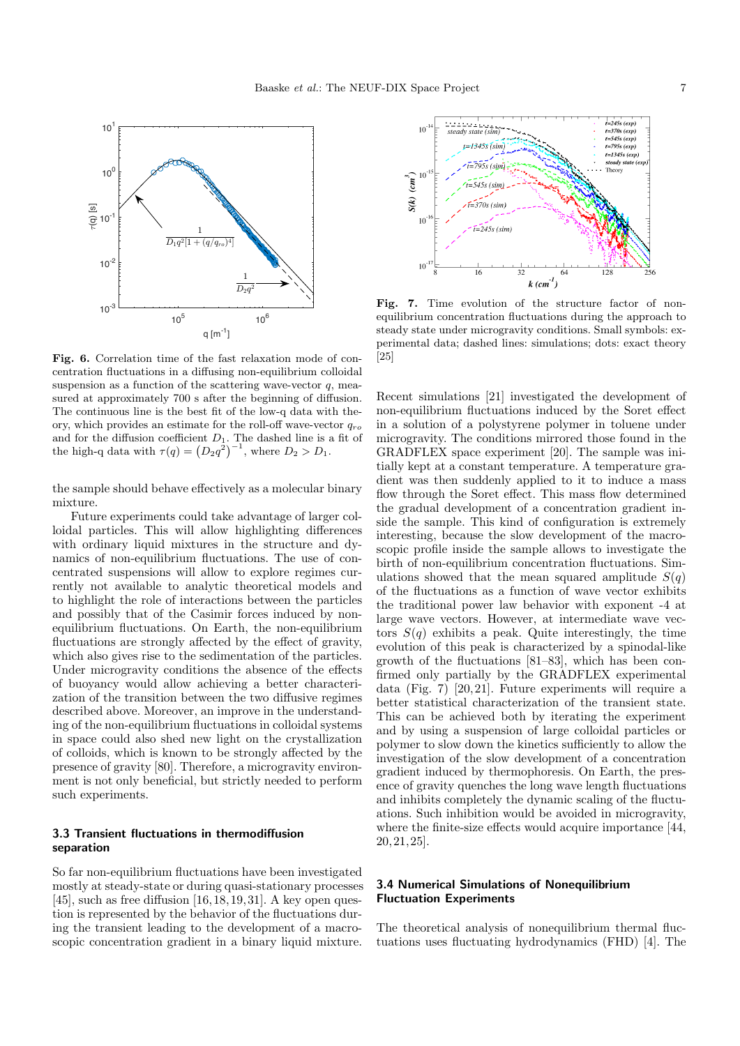

Fig. 6. Correlation time of the fast relaxation mode of concentration fluctuations in a diffusing non-equilibrium colloidal suspension as a function of the scattering wave-vector  $q$ , measured at approximately 700 s after the beginning of diffusion. The continuous line is the best fit of the low-q data with theory, which provides an estimate for the roll-off wave-vector  $q_{ro}$ and for the diffusion coefficient  $D_1$ . The dashed line is a fit of the high-q data with  $\tau(q) = (D_2 q^2)^{-1}$ , where  $D_2 > D_1$ .

the sample should behave effectively as a molecular binary mixture.

Future experiments could take advantage of larger colloidal particles. This will allow highlighting differences with ordinary liquid mixtures in the structure and dynamics of non-equilibrium fluctuations. The use of concentrated suspensions will allow to explore regimes currently not available to analytic theoretical models and to highlight the role of interactions between the particles and possibly that of the Casimir forces induced by nonequilibrium fluctuations. On Earth, the non-equilibrium fluctuations are strongly affected by the effect of gravity, which also gives rise to the sedimentation of the particles. Under microgravity conditions the absence of the effects of buoyancy would allow achieving a better characterization of the transition between the two diffusive regimes described above. Moreover, an improve in the understanding of the non-equilibrium fluctuations in colloidal systems in space could also shed new light on the crystallization of colloids, which is known to be strongly affected by the presence of gravity [80]. Therefore, a microgravity environment is not only beneficial, but strictly needed to perform such experiments.

## 3.3 Transient fluctuations in thermodiffusion separation

So far non-equilibrium fluctuations have been investigated mostly at steady-state or during quasi-stationary processes  $[45]$ , such as free diffusion  $[16, 18, 19, 31]$ . A key open question is represented by the behavior of the fluctuations during the transient leading to the development of a macroscopic concentration gradient in a binary liquid mixture.



Fig. 7. Time evolution of the structure factor of nonequilibrium concentration fluctuations during the approach to steady state under microgravity conditions. Small symbols: experimental data; dashed lines: simulations; dots: exact theory [25]

Recent simulations [21] investigated the development of non-equilibrium fluctuations induced by the Soret effect in a solution of a polystyrene polymer in toluene under microgravity. The conditions mirrored those found in the GRADFLEX space experiment [20]. The sample was initially kept at a constant temperature. A temperature gradient was then suddenly applied to it to induce a mass flow through the Soret effect. This mass flow determined the gradual development of a concentration gradient inside the sample. This kind of configuration is extremely interesting, because the slow development of the macroscopic profile inside the sample allows to investigate the birth of non-equilibrium concentration fluctuations. Simulations showed that the mean squared amplitude  $S(q)$ of the fluctuations as a function of wave vector exhibits the traditional power law behavior with exponent -4 at large wave vectors. However, at intermediate wave vectors  $S(q)$  exhibits a peak. Quite interestingly, the time evolution of this peak is characterized by a spinodal-like growth of the fluctuations [81–83], which has been confirmed only partially by the GRADFLEX experimental data (Fig.  $7)$  [20, 21]. Future experiments will require a better statistical characterization of the transient state. This can be achieved both by iterating the experiment and by using a suspension of large colloidal particles or polymer to slow down the kinetics sufficiently to allow the investigation of the slow development of a concentration gradient induced by thermophoresis. On Earth, the presence of gravity quenches the long wave length fluctuations and inhibits completely the dynamic scaling of the fluctuations. Such inhibition would be avoided in microgravity, where the finite-size effects would acquire importance [44, 20, 21, 25].

# 3.4 Numerical Simulations of Nonequilibrium Fluctuation Experiments

The theoretical analysis of nonequilibrium thermal fluctuations uses fluctuating hydrodynamics (FHD) [4]. The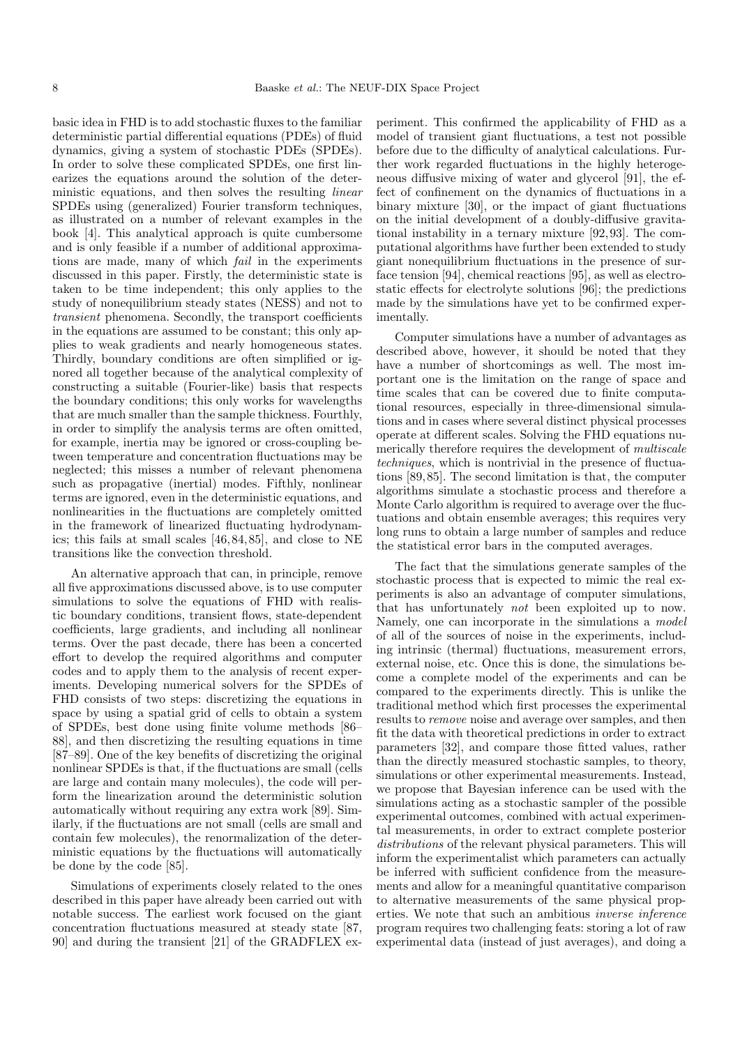basic idea in FHD is to add stochastic fluxes to the familiar deterministic partial differential equations (PDEs) of fluid dynamics, giving a system of stochastic PDEs (SPDEs). In order to solve these complicated SPDEs, one first linearizes the equations around the solution of the deterministic equations, and then solves the resulting *linear* SPDEs using (generalized) Fourier transform techniques, as illustrated on a number of relevant examples in the book [4]. This analytical approach is quite cumbersome and is only feasible if a number of additional approximations are made, many of which fail in the experiments discussed in this paper. Firstly, the deterministic state is taken to be time independent; this only applies to the study of nonequilibrium steady states (NESS) and not to transient phenomena. Secondly, the transport coefficients in the equations are assumed to be constant; this only applies to weak gradients and nearly homogeneous states. Thirdly, boundary conditions are often simplified or ignored all together because of the analytical complexity of constructing a suitable (Fourier-like) basis that respects the boundary conditions; this only works for wavelengths that are much smaller than the sample thickness. Fourthly, in order to simplify the analysis terms are often omitted, for example, inertia may be ignored or cross-coupling between temperature and concentration fluctuations may be neglected; this misses a number of relevant phenomena such as propagative (inertial) modes. Fifthly, nonlinear terms are ignored, even in the deterministic equations, and nonlinearities in the fluctuations are completely omitted in the framework of linearized fluctuating hydrodynamics; this fails at small scales [46, 84, 85], and close to NE transitions like the convection threshold.

An alternative approach that can, in principle, remove all five approximations discussed above, is to use computer simulations to solve the equations of FHD with realistic boundary conditions, transient flows, state-dependent coefficients, large gradients, and including all nonlinear terms. Over the past decade, there has been a concerted effort to develop the required algorithms and computer codes and to apply them to the analysis of recent experiments. Developing numerical solvers for the SPDEs of FHD consists of two steps: discretizing the equations in space by using a spatial grid of cells to obtain a system of SPDEs, best done using finite volume methods [86– 88], and then discretizing the resulting equations in time [87–89]. One of the key benefits of discretizing the original nonlinear SPDEs is that, if the fluctuations are small (cells are large and contain many molecules), the code will perform the linearization around the deterministic solution automatically without requiring any extra work [89]. Similarly, if the fluctuations are not small (cells are small and contain few molecules), the renormalization of the deterministic equations by the fluctuations will automatically be done by the code [85].

Simulations of experiments closely related to the ones described in this paper have already been carried out with notable success. The earliest work focused on the giant concentration fluctuations measured at steady state [87, 90] and during the transient [21] of the GRADFLEX experiment. This confirmed the applicability of FHD as a model of transient giant fluctuations, a test not possible before due to the difficulty of analytical calculations. Further work regarded fluctuations in the highly heterogeneous diffusive mixing of water and glycerol [91], the effect of confinement on the dynamics of fluctuations in a binary mixture [30], or the impact of giant fluctuations on the initial development of a doubly-diffusive gravitational instability in a ternary mixture [92, 93]. The computational algorithms have further been extended to study giant nonequilibrium fluctuations in the presence of surface tension [94], chemical reactions [95], as well as electrostatic effects for electrolyte solutions [96]; the predictions made by the simulations have yet to be confirmed experimentally.

Computer simulations have a number of advantages as described above, however, it should be noted that they have a number of shortcomings as well. The most important one is the limitation on the range of space and time scales that can be covered due to finite computational resources, especially in three-dimensional simulations and in cases where several distinct physical processes operate at different scales. Solving the FHD equations numerically therefore requires the development of multiscale techniques, which is nontrivial in the presence of fluctuations [89, 85]. The second limitation is that, the computer algorithms simulate a stochastic process and therefore a Monte Carlo algorithm is required to average over the fluctuations and obtain ensemble averages; this requires very long runs to obtain a large number of samples and reduce the statistical error bars in the computed averages.

The fact that the simulations generate samples of the stochastic process that is expected to mimic the real experiments is also an advantage of computer simulations, that has unfortunately not been exploited up to now. Namely, one can incorporate in the simulations a model of all of the sources of noise in the experiments, including intrinsic (thermal) fluctuations, measurement errors, external noise, etc. Once this is done, the simulations become a complete model of the experiments and can be compared to the experiments directly. This is unlike the traditional method which first processes the experimental results to remove noise and average over samples, and then fit the data with theoretical predictions in order to extract parameters [32], and compare those fitted values, rather than the directly measured stochastic samples, to theory, simulations or other experimental measurements. Instead, we propose that Bayesian inference can be used with the simulations acting as a stochastic sampler of the possible experimental outcomes, combined with actual experimental measurements, in order to extract complete posterior distributions of the relevant physical parameters. This will inform the experimentalist which parameters can actually be inferred with sufficient confidence from the measurements and allow for a meaningful quantitative comparison to alternative measurements of the same physical properties. We note that such an ambitious inverse inference program requires two challenging feats: storing a lot of raw experimental data (instead of just averages), and doing a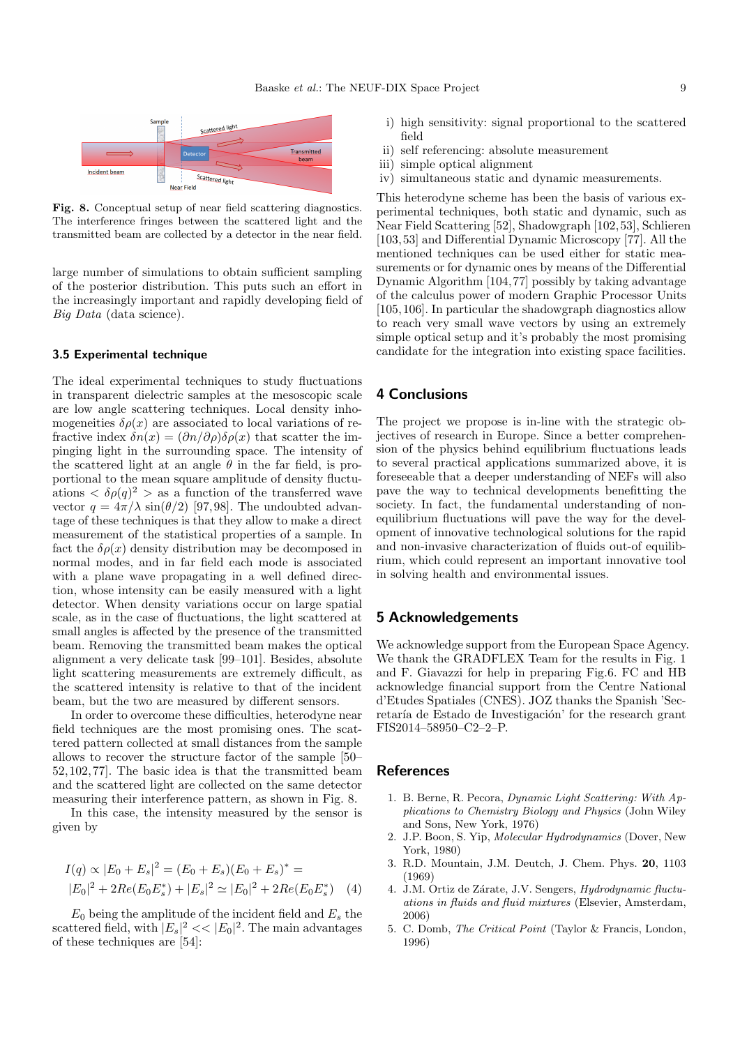

Fig. 8. Conceptual setup of near field scattering diagnostics. The interference fringes between the scattered light and the transmitted beam are collected by a detector in the near field.

large number of simulations to obtain sufficient sampling of the posterior distribution. This puts such an effort in the increasingly important and rapidly developing field of Big Data (data science).

#### 3.5 Experimental technique

The ideal experimental techniques to study fluctuations in transparent dielectric samples at the mesoscopic scale are low angle scattering techniques. Local density inhomogeneities  $\delta \rho(x)$  are associated to local variations of refractive index  $\delta n(x) = (\partial n/\partial \rho)\delta \rho(x)$  that scatter the impinging light in the surrounding space. The intensity of the scattered light at an angle  $\theta$  in the far field, is proportional to the mean square amplitude of density fluctuations  $\langle \delta \rho(q)^2 \rangle$  as a function of the transferred wave vector  $q = 4\pi/\lambda \sin(\theta/2)$  [97,98]. The undoubted advantage of these techniques is that they allow to make a direct measurement of the statistical properties of a sample. In fact the  $\delta \rho(x)$  density distribution may be decomposed in normal modes, and in far field each mode is associated with a plane wave propagating in a well defined direction, whose intensity can be easily measured with a light detector. When density variations occur on large spatial scale, as in the case of fluctuations, the light scattered at small angles is affected by the presence of the transmitted beam. Removing the transmitted beam makes the optical alignment a very delicate task [99–101]. Besides, absolute light scattering measurements are extremely difficult, as the scattered intensity is relative to that of the incident beam, but the two are measured by different sensors.

In order to overcome these difficulties, heterodyne near field techniques are the most promising ones. The scattered pattern collected at small distances from the sample allows to recover the structure factor of the sample [50– 52, 102, 77]. The basic idea is that the transmitted beam and the scattered light are collected on the same detector measuring their interference pattern, as shown in Fig. 8.

In this case, the intensity measured by the sensor is given by

$$
I(q) \propto |E_0 + E_s|^2 = (E_0 + E_s)(E_0 + E_s)^* =
$$
  

$$
|E_0|^2 + 2Re(E_0 E_s^*) + |E_s|^2 \simeq |E_0|^2 + 2Re(E_0 E_s^*) \quad (4)
$$

 $E_0$  being the amplitude of the incident field and  $E_s$  the scattered field, with  $|E_s|^2 \ll |E_0|^2$ . The main advantages of these techniques are [54]:

- i) high sensitivity: signal proportional to the scattered field
- ii) self referencing: absolute measurement
- iii) simple optical alignment
- iv) simultaneous static and dynamic measurements.

This heterodyne scheme has been the basis of various experimental techniques, both static and dynamic, such as Near Field Scattering [52], Shadowgraph [102, 53], Schlieren [103, 53] and Differential Dynamic Microscopy [77]. All the mentioned techniques can be used either for static measurements or for dynamic ones by means of the Differential Dynamic Algorithm [104, 77] possibly by taking advantage of the calculus power of modern Graphic Processor Units [105, 106]. In particular the shadowgraph diagnostics allow to reach very small wave vectors by using an extremely simple optical setup and it's probably the most promising candidate for the integration into existing space facilities.

# 4 Conclusions

The project we propose is in-line with the strategic objectives of research in Europe. Since a better comprehension of the physics behind equilibrium fluctuations leads to several practical applications summarized above, it is foreseeable that a deeper understanding of NEFs will also pave the way to technical developments benefitting the society. In fact, the fundamental understanding of nonequilibrium fluctuations will pave the way for the development of innovative technological solutions for the rapid and non-invasive characterization of fluids out-of equilibrium, which could represent an important innovative tool in solving health and environmental issues.

# 5 Acknowledgements

We acknowledge support from the European Space Agency. We thank the GRADFLEX Team for the results in Fig. 1 and F. Giavazzi for help in preparing Fig.6. FC and HB acknowledge financial support from the Centre National d'Etudes Spatiales (CNES). JOZ thanks the Spanish 'Secretaría de Estado de Investigación' for the research grant FIS2014–58950–C2–2–P.

# **References**

- 1. B. Berne, R. Pecora, Dynamic Light Scattering: With Applications to Chemistry Biology and Physics (John Wiley and Sons, New York, 1976)
- 2. J.P. Boon, S. Yip, Molecular Hydrodynamics (Dover, New York, 1980)
- 3. R.D. Mountain, J.M. Deutch, J. Chem. Phys. 20, 1103 (1969)
- 4. J.M. Ortiz de Zárate, J.V. Sengers, Hydrodynamic fluctuations in fluids and fluid mixtures (Elsevier, Amsterdam, 2006)
- 5. C. Domb, The Critical Point (Taylor & Francis, London, 1996)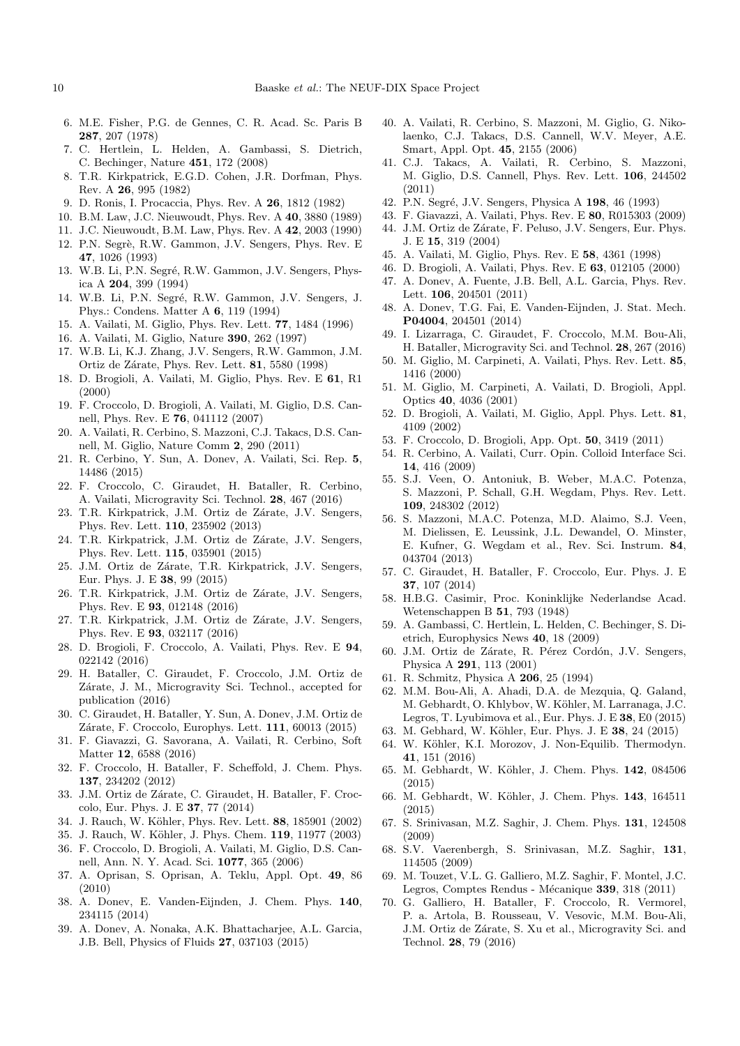- 6. M.E. Fisher, P.G. de Gennes, C. R. Acad. Sc. Paris B 287, 207 (1978)
- 7. C. Hertlein, L. Helden, A. Gambassi, S. Dietrich, C. Bechinger, Nature 451, 172 (2008)
- 8. T.R. Kirkpatrick, E.G.D. Cohen, J.R. Dorfman, Phys. Rev. A 26, 995 (1982)
- 9. D. Ronis, I. Procaccia, Phys. Rev. A 26, 1812 (1982)
- 10. B.M. Law, J.C. Nieuwoudt, Phys. Rev. A 40, 3880 (1989)
- 11. J.C. Nieuwoudt, B.M. Law, Phys. Rev. A 42, 2003 (1990)
- 12. P.N. Segrè, R.W. Gammon, J.V. Sengers, Phys. Rev. E 47, 1026 (1993)
- 13. W.B. Li, P.N. Segré, R.W. Gammon, J.V. Sengers, Physica A 204, 399 (1994)
- 14. W.B. Li, P.N. Segré, R.W. Gammon, J.V. Sengers, J. Phys.: Condens. Matter A 6, 119 (1994)
- 15. A. Vailati, M. Giglio, Phys. Rev. Lett. 77, 1484 (1996)
- 16. A. Vailati, M. Giglio, Nature 390, 262 (1997)
- 17. W.B. Li, K.J. Zhang, J.V. Sengers, R.W. Gammon, J.M. Ortiz de Zárate, Phys. Rev. Lett. **81**, 5580 (1998)
- 18. D. Brogioli, A. Vailati, M. Giglio, Phys. Rev. E 61, R1 (2000)
- 19. F. Croccolo, D. Brogioli, A. Vailati, M. Giglio, D.S. Cannell, Phys. Rev. E 76, 041112 (2007)
- 20. A. Vailati, R. Cerbino, S. Mazzoni, C.J. Takacs, D.S. Cannell, M. Giglio, Nature Comm 2, 290 (2011)
- 21. R. Cerbino, Y. Sun, A. Donev, A. Vailati, Sci. Rep. 5, 14486 (2015)
- 22. F. Croccolo, C. Giraudet, H. Bataller, R. Cerbino, A. Vailati, Microgravity Sci. Technol. 28, 467 (2016)
- 23. T.R. Kirkpatrick, J.M. Ortiz de Zárate, J.V. Sengers, Phys. Rev. Lett. 110, 235902 (2013)
- 24. T.R. Kirkpatrick, J.M. Ortiz de Zárate, J.V. Sengers, Phys. Rev. Lett. 115, 035901 (2015)
- 25. J.M. Ortiz de Zárate, T.R. Kirkpatrick, J.V. Sengers, Eur. Phys. J. E 38, 99 (2015)
- 26. T.R. Kirkpatrick, J.M. Ortiz de Zárate, J.V. Sengers, Phys. Rev. E 93, 012148 (2016)
- 27. T.R. Kirkpatrick, J.M. Ortiz de Zárate, J.V. Sengers, Phys. Rev. E 93, 032117 (2016)
- 28. D. Brogioli, F. Croccolo, A. Vailati, Phys. Rev. E 94, 022142 (2016)
- 29. H. Bataller, C. Giraudet, F. Croccolo, J.M. Ortiz de Zárate, J. M., Microgravity Sci. Technol., accepted for publication (2016)
- 30. C. Giraudet, H. Bataller, Y. Sun, A. Donev, J.M. Ortiz de Zárate, F. Croccolo, Europhys. Lett. 111, 60013 (2015)
- 31. F. Giavazzi, G. Savorana, A. Vailati, R. Cerbino, Soft Matter 12, 6588 (2016)
- 32. F. Croccolo, H. Bataller, F. Scheffold, J. Chem. Phys. 137, 234202 (2012)
- 33. J.M. Ortiz de Zárate, C. Giraudet, H. Bataller, F. Croccolo, Eur. Phys. J. E 37, 77 (2014)
- 34. J. Rauch, W. Köhler, Phys. Rev. Lett. 88, 185901 (2002)
- 35. J. Rauch, W. Köhler, J. Phys. Chem. 119, 11977 (2003)
- 36. F. Croccolo, D. Brogioli, A. Vailati, M. Giglio, D.S. Cannell, Ann. N. Y. Acad. Sci. 1077, 365 (2006)
- 37. A. Oprisan, S. Oprisan, A. Teklu, Appl. Opt. 49, 86 (2010)
- 38. A. Donev, E. Vanden-Eijnden, J. Chem. Phys. 140, 234115 (2014)
- 39. A. Donev, A. Nonaka, A.K. Bhattacharjee, A.L. Garcia, J.B. Bell, Physics of Fluids 27, 037103 (2015)
- 40. A. Vailati, R. Cerbino, S. Mazzoni, M. Giglio, G. Nikolaenko, C.J. Takacs, D.S. Cannell, W.V. Meyer, A.E. Smart, Appl. Opt. 45, 2155 (2006)
- 41. C.J. Takacs, A. Vailati, R. Cerbino, S. Mazzoni, M. Giglio, D.S. Cannell, Phys. Rev. Lett. 106, 244502 (2011)
- 42. P.N. Segré, J.V. Sengers, Physica A 198, 46 (1993)
- 43. F. Giavazzi, A. Vailati, Phys. Rev. E 80, R015303 (2009)
- 44. J.M. Ortiz de Zárate, F. Peluso, J.V. Sengers, Eur. Phys. J. E 15, 319 (2004)
- 45. A. Vailati, M. Giglio, Phys. Rev. E 58, 4361 (1998)
- 46. D. Brogioli, A. Vailati, Phys. Rev. E 63, 012105 (2000)
- 47. A. Donev, A. Fuente, J.B. Bell, A.L. Garcia, Phys. Rev. Lett. 106, 204501 (2011)
- 48. A. Donev, T.G. Fai, E. Vanden-Eijnden, J. Stat. Mech. P04004, 204501 (2014)
- 49. I. Lizarraga, C. Giraudet, F. Croccolo, M.M. Bou-Ali, H. Bataller, Microgravity Sci. and Technol. 28, 267 (2016)
- 50. M. Giglio, M. Carpineti, A. Vailati, Phys. Rev. Lett. 85, 1416 (2000)
- 51. M. Giglio, M. Carpineti, A. Vailati, D. Brogioli, Appl. Optics 40, 4036 (2001)
- 52. D. Brogioli, A. Vailati, M. Giglio, Appl. Phys. Lett. 81, 4109 (2002)
- 53. F. Croccolo, D. Brogioli, App. Opt. 50, 3419 (2011)
- 54. R. Cerbino, A. Vailati, Curr. Opin. Colloid Interface Sci. 14, 416 (2009)
- 55. S.J. Veen, O. Antoniuk, B. Weber, M.A.C. Potenza, S. Mazzoni, P. Schall, G.H. Wegdam, Phys. Rev. Lett. 109, 248302 (2012)
- 56. S. Mazzoni, M.A.C. Potenza, M.D. Alaimo, S.J. Veen, M. Dielissen, E. Leussink, J.L. Dewandel, O. Minster, E. Kufner, G. Wegdam et al., Rev. Sci. Instrum. 84, 043704 (2013)
- 57. C. Giraudet, H. Bataller, F. Croccolo, Eur. Phys. J. E 37, 107 (2014)
- 58. H.B.G. Casimir, Proc. Koninklijke Nederlandse Acad. Wetenschappen B 51, 793 (1948)
- 59. A. Gambassi, C. Hertlein, L. Helden, C. Bechinger, S. Dietrich, Europhysics News 40, 18 (2009)
- 60. J.M. Ortiz de Zárate, R. Pérez Cordón, J.V. Sengers, Physica A 291, 113 (2001)
- 61. R. Schmitz, Physica A 206, 25 (1994)
- 62. M.M. Bou-Ali, A. Ahadi, D.A. de Mezquia, Q. Galand, M. Gebhardt, O. Khlybov, W. Köhler, M. Larranaga, J.C. Legros, T. Lyubimova et al., Eur. Phys. J. E 38, E0 (2015)
- 63. M. Gebhard, W. Köhler, Eur. Phys. J. E 38, 24 (2015)
- 64. W. Köhler, K.I. Morozov, J. Non-Equilib. Thermodyn. 41, 151 (2016)
- 65. M. Gebhardt, W. Köhler, J. Chem. Phys. 142, 084506 (2015)
- 66. M. Gebhardt, W. Köhler, J. Chem. Phys. 143, 164511 (2015)
- 67. S. Srinivasan, M.Z. Saghir, J. Chem. Phys. 131, 124508 (2009)
- 68. S.V. Vaerenbergh, S. Srinivasan, M.Z. Saghir, 131, 114505 (2009)
- 69. M. Touzet, V.L. G. Galliero, M.Z. Saghir, F. Montel, J.C. Legros, Comptes Rendus - Mécanique 339, 318 (2011)
- 70. G. Galliero, H. Bataller, F. Croccolo, R. Vermorel, P. a. Artola, B. Rousseau, V. Vesovic, M.M. Bou-Ali, J.M. Ortiz de Zárate, S. Xu et al., Microgravity Sci. and Technol. 28, 79 (2016)